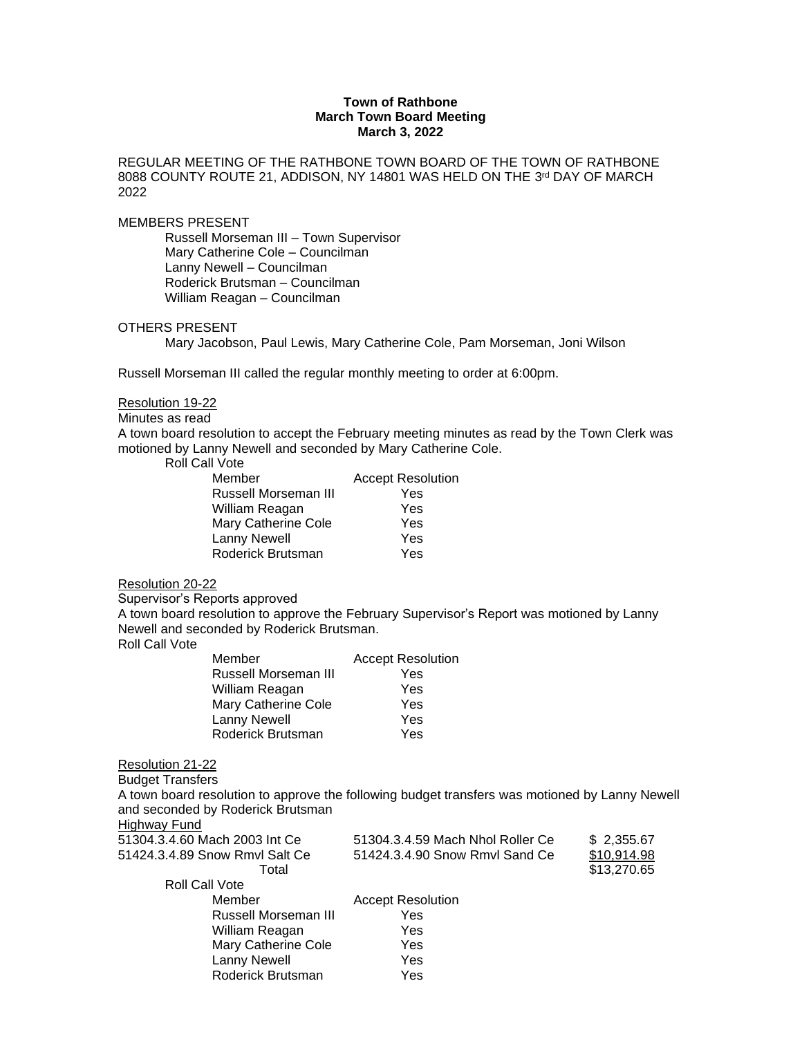## **Town of Rathbone March Town Board Meeting March 3, 2022**

REGULAR MEETING OF THE RATHBONE TOWN BOARD OF THE TOWN OF RATHBONE 8088 COUNTY ROUTE 21, ADDISON, NY 14801 WAS HELD ON THE 3™ DAY OF MARCH 2022

### MEMBERS PRESENT

Russell Morseman III – Town Supervisor Mary Catherine Cole – Councilman Lanny Newell – Councilman Roderick Brutsman – Councilman William Reagan – Councilman

# OTHERS PRESENT

Mary Jacobson, Paul Lewis, Mary Catherine Cole, Pam Morseman, Joni Wilson

Russell Morseman III called the regular monthly meeting to order at 6:00pm.

# Resolution 19-22

Minutes as read

A town board resolution to accept the February meeting minutes as read by the Town Clerk was motioned by Lanny Newell and seconded by Mary Catherine Cole.

Roll Call Vote

| Member               | <b>Accept Resolution</b> |
|----------------------|--------------------------|
| Russell Morseman III | Yes                      |
| William Reagan       | Yes                      |
| Mary Catherine Cole  | Yes                      |
| Lanny Newell         | Yes                      |
| Roderick Brutsman    | Yes                      |

#### Resolution 20-22

Supervisor's Reports approved

A town board resolution to approve the February Supervisor's Report was motioned by Lanny Newell and seconded by Roderick Brutsman.

Roll Call Vote

| Member                      | <b>Accept Resolution</b> |
|-----------------------------|--------------------------|
| <b>Russell Morseman III</b> | Yes                      |
| William Reagan              | Yes                      |
| Mary Catherine Cole         | Yes                      |
| <b>Lanny Newell</b>         | Yes                      |
| Roderick Brutsman           | Yes                      |

### Resolution 21-22

Budget Transfers A town board resolution to approve the following budget transfers was motioned by Lanny Newell and seconded by Roderick Brutsman

Highway Fund

| 51304.3.4.60 Mach 2003 Int Ce  | 51304.3.4.59 Mach Nhol Roller Ce | \$2,355.67  |
|--------------------------------|----------------------------------|-------------|
| 51424.3.4.89 Snow Rmvl Salt Ce | 51424.3.4.90 Snow Rmvl Sand Ce   | \$10,914.98 |
| Total                          |                                  | \$13,270.65 |
| Roll Call Vote                 |                                  |             |
| Member                         | <b>Accept Resolution</b>         |             |
| Russell Morseman III           | Yes                              |             |
| William Reagan                 | Yes                              |             |
| <b>Mary Catherine Cole</b>     | Yes                              |             |
| Lanny Newell                   | Yes                              |             |
| Roderick Brutsman              | Yes                              |             |